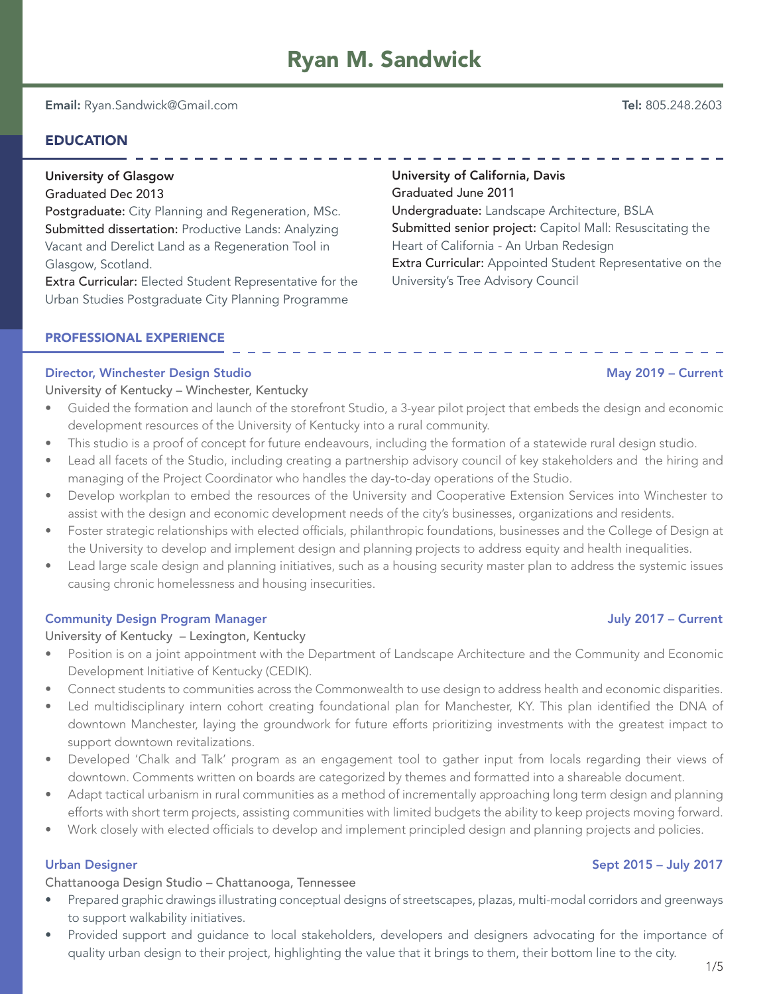University of California, Davis

Undergraduate: Landscape Architecture, BSLA

Graduated June 2011

Email: Ryan.Sandwick@Gmail.com Tel: 805.248.2603

## EDUCATION

# University of Glasgow

Graduated Dec 2013

Postgraduate: City Planning and Regeneration, MSc. Submitted dissertation: Productive Lands: Analyzing Vacant and Derelict Land as a Regeneration Tool in Glasgow, Scotland.

Extra Curricular: Elected Student Representative for the Urban Studies Postgraduate City Planning Programme

## PROFESSIONAL EXPERIENCE

## Director, Winchester Design Studio May 2019 – Current

University of Kentucky – Winchester, Kentucky

- Guided the formation and launch of the storefront Studio, a 3-year pilot project that embeds the design and economic development resources of the University of Kentucky into a rural community.
- This studio is a proof of concept for future endeavours, including the formation of a statewide rural design studio.
- Lead all facets of the Studio, including creating a partnership advisory council of key stakeholders and the hiring and managing of the Project Coordinator who handles the day-to-day operations of the Studio.
- Develop workplan to embed the resources of the University and Cooperative Extension Services into Winchester to assist with the design and economic development needs of the city's businesses, organizations and residents.
- Foster strategic relationships with elected officials, philanthropic foundations, businesses and the College of Design at the University to develop and implement design and planning projects to address equity and health inequalities.
- Lead large scale design and planning initiatives, such as a housing security master plan to address the systemic issues causing chronic homelessness and housing insecurities.

## Community Design Program Manager July 2017 – Current

University of Kentucky – Lexington, Kentucky

- Position is on a joint appointment with the Department of Landscape Architecture and the Community and Economic Development Initiative of Kentucky (CEDIK).
- Connect students to communities across the Commonwealth to use design to address health and economic disparities.
- Led multidisciplinary intern cohort creating foundational plan for Manchester, KY. This plan identified the DNA of downtown Manchester, laying the groundwork for future efforts prioritizing investments with the greatest impact to support downtown revitalizations.
- Developed 'Chalk and Talk' program as an engagement tool to gather input from locals regarding their views of downtown. Comments written on boards are categorized by themes and formatted into a shareable document.
- Adapt tactical urbanism in rural communities as a method of incrementally approaching long term design and planning efforts with short term projects, assisting communities with limited budgets the ability to keep projects moving forward.
- Work closely with elected officials to develop and implement principled design and planning projects and policies.

## Urban Designer Sept 2015 – July 2017

Chattanooga Design Studio – Chattanooga, Tennessee

- Prepared graphic drawings illustrating conceptual designs of streetscapes, plazas, multi-modal corridors and greenways to support walkability initiatives.
- Provided support and guidance to local stakeholders, developers and designers advocating for the importance of quality urban design to their project, highlighting the value that it brings to them, their bottom line to the city.

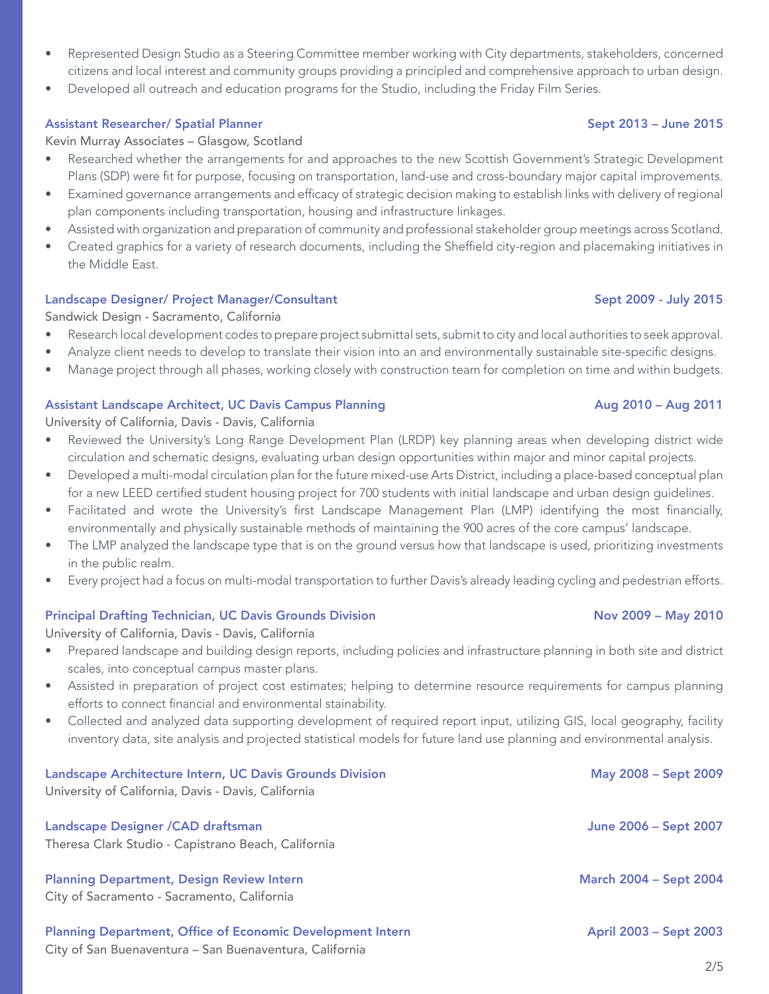- Represented Design Studio as a Steering Committee member working with City departments, stakeholders, concerned citizens and local interest and community groups providing a principled and comprehensive approach to urban design.
- Developed all outreach and education programs for the Studio, including the Friday Film Series.

## Assistant Researcher/ Spatial Planner Sept 2013 – June 2015

Kevin Murray Associates – Glasgow, Scotland

- Researched whether the arrangements for and approaches to the new Scottish Government's Strategic Development Plans (SDP) were fit for purpose, focusing on transportation, land-use and cross-boundary major capital improvements.
- Examined governance arrangements and efficacy of strategic decision making to establish links with delivery of regional plan components including transportation, housing and infrastructure linkages.
- Assisted with organization and preparation of community and professional stakeholder group meetings across Scotland.
- Created graphics for a variety of research documents, including the Sheffield city-region and placemaking initiatives in the Middle East.

## Landscape Designer/ Project Manager/Consultant Sept 2009 - July 2015

Sandwick Design - Sacramento, California

- Research local development codes to prepare project submittal sets, submit to city and local authorities to seek approval.
- Analyze client needs to develop to translate their vision into an and environmentally sustainable site-specific designs.
- Manage project through all phases, working closely with construction team for completion on time and within budgets.

## Assistant Landscape Architect, UC Davis Campus Planning and August 2010 – Aug 2011 – Aug 2011

University of California, Davis - Davis, California

- Reviewed the University's Long Range Development Plan (LRDP) key planning areas when developing district wide circulation and schematic designs, evaluating urban design opportunities within major and minor capital projects.
- Developed a multi-modal circulation plan for the future mixed-use Arts District, including a place-based conceptual plan for a new LEED certified student housing project for 700 students with initial landscape and urban design guidelines.
- Facilitated and wrote the University's first Landscape Management Plan (LMP) identifying the most financially, environmentally and physically sustainable methods of maintaining the 900 acres of the core campus' landscape.
- The LMP analyzed the landscape type that is on the ground versus how that landscape is used, prioritizing investments in the public realm.
- Every project had a focus on multi-modal transportation to further Davis's already leading cycling and pedestrian efforts.

## Principal Drafting Technician, UC Davis Grounds Division Nov 2009 – May 2010

University of California, Davis - Davis, California

- Prepared landscape and building design reports, including policies and infrastructure planning in both site and district scales, into conceptual campus master plans.
- Assisted in preparation of project cost estimates; helping to determine resource requirements for campus planning efforts to connect financial and environmental stainability.
- Collected and analyzed data supporting development of required report input, utilizing GIS, local geography, facility inventory data, site analysis and projected statistical models for future land use planning and environmental analysis.

| Landscape Architecture Intern, UC Davis Grounds Division<br>University of California, Davis - Davis, California              | May 2008 – Sept 2009          |
|------------------------------------------------------------------------------------------------------------------------------|-------------------------------|
| Landscape Designer / CAD draftsman<br>Theresa Clark Studio - Capistrano Beach, California                                    | June 2006 - Sept 2007         |
| <b>Planning Department, Design Review Intern</b><br>City of Sacramento - Sacramento, California                              | <b>March 2004 - Sept 2004</b> |
| <b>Planning Department, Office of Economic Development Intern</b><br>City of San Buenaventura – San Buenaventura, California | April 2003 - Sept 2003        |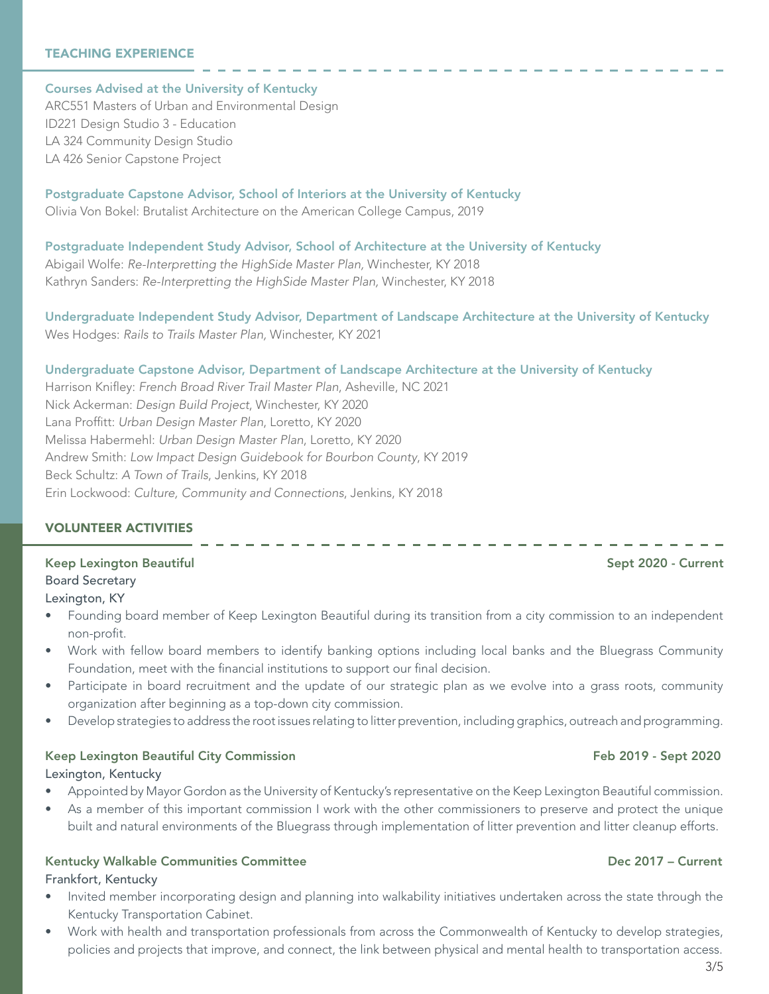### TEACHING EXPERIENCE

Courses Advised at the University of Kentucky ARC551 Masters of Urban and Environmental Design ID221 Design Studio 3 - Education LA 324 Community Design Studio LA 426 Senior Capstone Project

Postgraduate Capstone Advisor, School of Interiors at the University of Kentucky Olivia Von Bokel: Brutalist Architecture on the American College Campus, 2019

Postgraduate Independent Study Advisor, School of Architecture at the University of Kentucky Abigail Wolfe: *Re-Interpretting the HighSide Master Plan,* Winchester, KY 2018 Kathryn Sanders: *Re-Interpretting the HighSide Master Plan,* Winchester, KY 2018

Undergraduate Independent Study Advisor, Department of Landscape Architecture at the University of Kentucky Wes Hodges: *Rails to Trails Master Plan,* Winchester, KY 2021

### Undergraduate Capstone Advisor, Department of Landscape Architecture at the University of Kentucky

Harrison Knifley: *French Broad River Trail Master Plan*, Asheville, NC 2021 Nick Ackerman: *Design Build Project*, Winchester, KY 2020 Lana Proffitt: *Urban Design Master Plan*, Loretto, KY 2020 Melissa Habermehl: *Urban Design Master Plan*, Loretto, KY 2020 Andrew Smith: *Low Impact Design Guidebook for Bourbon County*, KY 2019 Beck Schultz: *A Town of Trails*, Jenkins, KY 2018 Erin Lockwood: *Culture, Community and Connections*, Jenkins, KY 2018

### VOLUNTEER ACTIVITIES

Keep Lexington Beautiful Sept 2020 - Current Sept 2020 - Current Sept 2020 - Current Board Secretary Lexington, KY

- Founding board member of Keep Lexington Beautiful during its transition from a city commission to an independent non-profit.
- Work with fellow board members to identify banking options including local banks and the Bluegrass Community Foundation, meet with the financial institutions to support our final decision.
- Participate in board recruitment and the update of our strategic plan as we evolve into a grass roots, community organization after beginning as a top-down city commission.
- Develop strategies to address the root issues relating to litter prevention, including graphics, outreach and programming.

### Keep Lexington Beautiful City Commission Feb 2019 - Sept 2020

Lexington, Kentucky

- Appointed by Mayor Gordon as the University of Kentucky's representative on the Keep Lexington Beautiful commission.
- As a member of this important commission I work with the other commissioners to preserve and protect the unique built and natural environments of the Bluegrass through implementation of litter prevention and litter cleanup efforts.

### Kentucky Walkable Communities Committee **December 2017** - Current

Frankfort, Kentucky

- Invited member incorporating design and planning into walkability initiatives undertaken across the state through the Kentucky Transportation Cabinet.
- Work with health and transportation professionals from across the Commonwealth of Kentucky to develop strategies, policies and projects that improve, and connect, the link between physical and mental health to transportation access.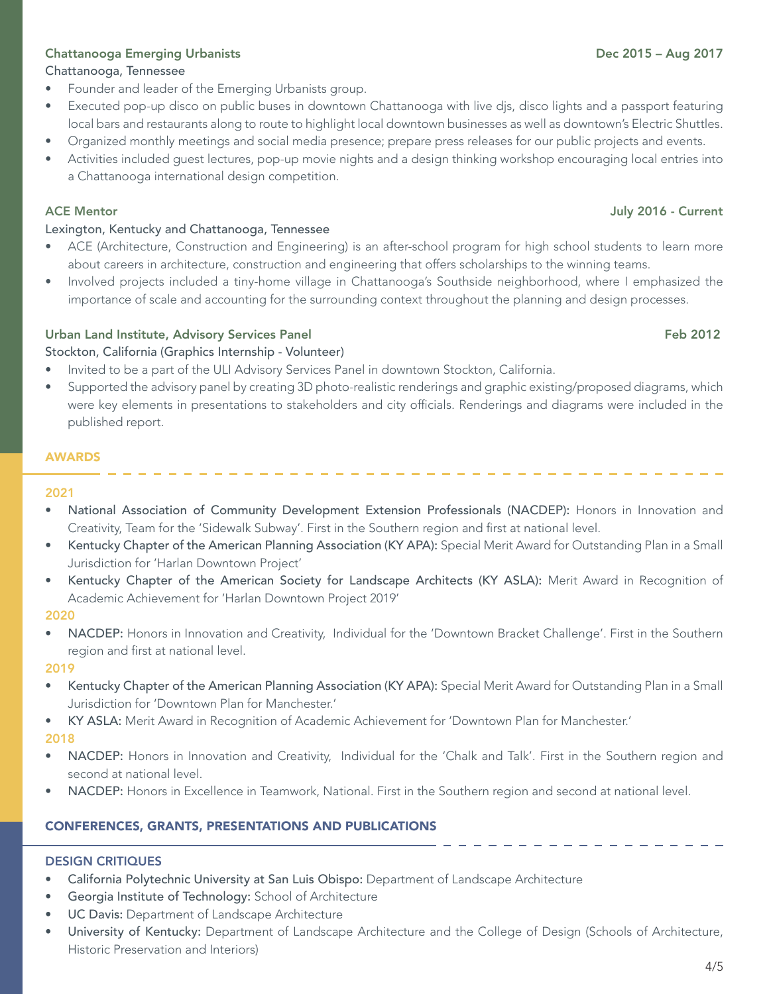# Chattanooga, Tennessee

- Founder and leader of the Emerging Urbanists group.
- Executed pop-up disco on public buses in downtown Chattanooga with live djs, disco lights and a passport featuring local bars and restaurants along to route to highlight local downtown businesses as well as downtown's Electric Shuttles.
- Organized monthly meetings and social media presence; prepare press releases for our public projects and events.
- Activities included guest lectures, pop-up movie nights and a design thinking workshop encouraging local entries into a Chattanooga international design competition.

## Lexington, Kentucky and Chattanooga, Tennessee

- ACE (Architecture, Construction and Engineering) is an after-school program for high school students to learn more about careers in architecture, construction and engineering that offers scholarships to the winning teams.
- Involved projects included a tiny-home village in Chattanooga's Southside neighborhood, where I emphasized the importance of scale and accounting for the surrounding context throughout the planning and design processes.

# Urban Land Institute, Advisory Services Panel Feb 2012

Stockton, California (Graphics Internship - Volunteer)

- Invited to be a part of the ULI Advisory Services Panel in downtown Stockton, California.
- Supported the advisory panel by creating 3D photo-realistic renderings and graphic existing/proposed diagrams, which were key elements in presentations to stakeholders and city officials. Renderings and diagrams were included in the published report.

## AWARDS

## 2021

- National Association of Community Development Extension Professionals (NACDEP): Honors in Innovation and Creativity, Team for the 'Sidewalk Subway'. First in the Southern region and first at national level.
- Kentucky Chapter of the American Planning Association (KY APA): Special Merit Award for Outstanding Plan in a Small Jurisdiction for 'Harlan Downtown Project'
- Kentucky Chapter of the American Society for Landscape Architects (KY ASLA): Merit Award in Recognition of Academic Achievement for 'Harlan Downtown Project 2019'

## 2020

• NACDEP: Honors in Innovation and Creativity, Individual for the 'Downtown Bracket Challenge'. First in the Southern region and first at national level.

## 2019

- Kentucky Chapter of the American Planning Association (KY APA): Special Merit Award for Outstanding Plan in a Small Jurisdiction for 'Downtown Plan for Manchester.'
- KY ASLA: Merit Award in Recognition of Academic Achievement for 'Downtown Plan for Manchester.'

2018

- NACDEP: Honors in Innovation and Creativity, Individual for the 'Chalk and Talk'. First in the Southern region and second at national level.
- NACDEP: Honors in Excellence in Teamwork, National. First in the Southern region and second at national level.

# CONFERENCES, GRANTS, PRESENTATIONS AND PUBLICATIONS

## DESIGN CRITIQUES

- California Polytechnic University at San Luis Obispo: Department of Landscape Architecture
- Georgia Institute of Technology: School of Architecture
- UC Davis: Department of Landscape Architecture
- University of Kentucky: Department of Landscape Architecture and the College of Design (Schools of Architecture, Historic Preservation and Interiors)

## ACE Mentor July 2016 - Current